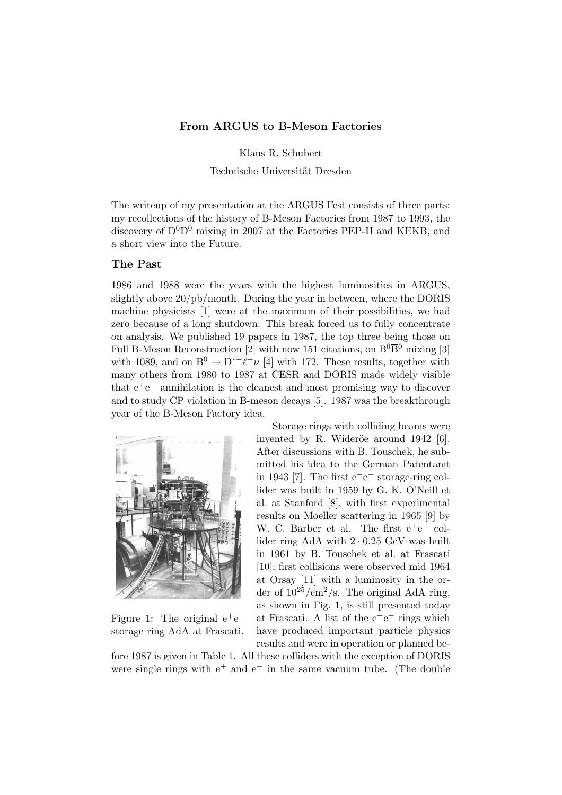## From ARGUS to B-Meson Factories

Klaus R. Schubert

Technische Universität Dresden

The writeup of my presentation at the ARGUS Fest consists of three parts: my recollections of the history of B-Meson Factories from 1987 to 1993, the discovery of  $D^0\overline{D}{}^0$  mixing in 2007 at the Factories PEP-II and KEKB, and a short view into the Future.

#### The Past

1986 and 1988 were the years with the highest luminosities in ARGUS, slightly above 20/pb/month. During the year in between, where the DORIS machine physicists [1] were at the maximum of their possibilities, we had zero because of a long shutdown. This break forced us to fully concentrate on analysis. We published 19 papers in 1987, the top three being those on Full B-Meson Reconstruction [2] with now 151 citations, on  $B^0\overline{B}{}^0$  mixing [3] with 1089, and on  $B^0 \to D^{*-}\ell^+\nu$  [4] with 172. These results, together with many others from 1980 to 1987 at CESR and DORIS made widely visible that  $e^+e^-$  annihilation is the cleanest and most promising way to discover and to study CP violation in B-meson decays [5]. 1987 was the breakthrough year of the B-Meson Factory idea.



Figure 1: The original  $e^+e^$ storage ring AdA at Frascati.

Storage rings with colliding beams were invented by R. Wideröe around 1942 [6]. After discussions with B. Touschek, he submitted his idea to the German Patentamt in 1943 [7]. The first  $e^-e^-$  storage-ring collider was built in 1959 by G. K. O'Neill et al. at Stanford [8], with first experimental results on Moeller scattering in 1965 [9] by W. C. Barber et al. The first  $e^+e^-$  collider ring AdA with 2 · 0.25 GeV was built in 1961 by B. Touschek et al. at Frascati [10]; first collisions were observed mid 1964 at Orsay [11] with a luminosity in the order of  $10^{25}/\text{cm}^2/\text{s}$ . The original AdA ring, as shown in Fig. 1, is still presented today at Frascati. A list of the  $e^+e^-$  rings which have produced important particle physics results and were in operation or planned be-

fore 1987 is given in Table 1. All these colliders with the exception of DORIS were single rings with  $e^+$  and  $e^-$  in the same vacuum tube. (The double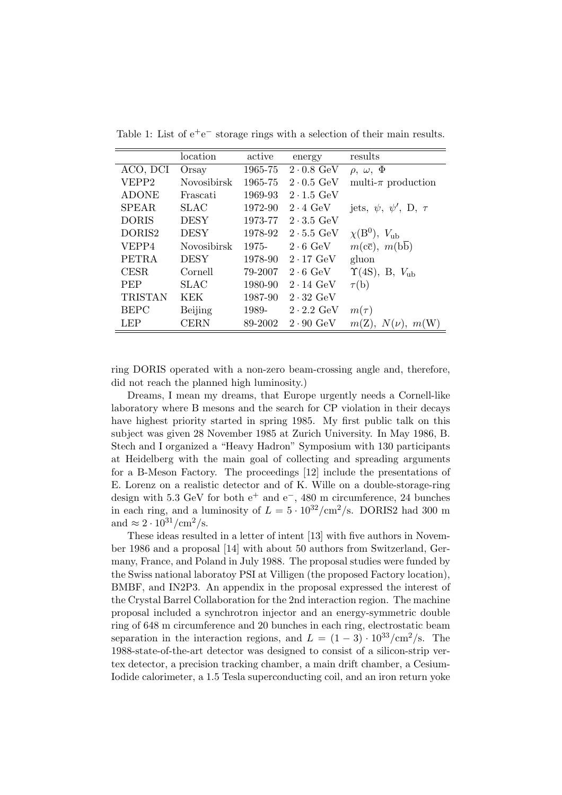|                | location           | active  | energy                    | results                              |
|----------------|--------------------|---------|---------------------------|--------------------------------------|
| ACO, DCI       | Orsay              | 1965-75 | $2 \cdot 0.8$ GeV         | $\rho, \omega, \Phi$                 |
| VEPP2          | <b>Novosibirsk</b> | 1965-75 | $2 \cdot 0.5$ GeV         | multi- $\pi$ production              |
| <b>ADONE</b>   | Frascati           | 1969-93 | $2 \cdot 1.5$ GeV         |                                      |
| <b>SPEAR</b>   | SLAC               | 1972-90 | $2 \cdot 4$ GeV           | jets, $\psi$ , $\psi'$ , D, $\tau$   |
| <b>DORIS</b>   | <b>DESY</b>        | 1973-77 | $2 \cdot 3.5$ GeV         |                                      |
| DORIS2         | <b>DESY</b>        | 1978-92 | $2 \cdot 5.5$ GeV         | $\chi(B^0)$ , $V_{ub}$               |
| VEPP4          | <b>Novosibirsk</b> | 1975-   | $2 \cdot 6$ GeV           | $m(c\overline{c}), m(b\overline{b})$ |
| <b>PETRA</b>   | <b>DESY</b>        | 1978-90 | $2 \cdot 17$ GeV          | gluon                                |
| <b>CESR</b>    | Cornell            | 79-2007 | $2 \cdot 6$ GeV           | $\Upsilon(4S)$ , B, $V_{ub}$         |
| <b>PEP</b>     | SLAC               | 1980-90 | $2 \cdot 14 \text{ GeV}$  | $\tau(b)$                            |
| <b>TRISTAN</b> | KEK                | 1987-90 | $2 \cdot 32$ GeV          |                                      |
| <b>BEPC</b>    | Beijing            | 1989-   | $2 \cdot 2.2 \text{ GeV}$ | $m(\tau)$                            |
| <b>LEP</b>     | <b>CERN</b>        | 89-2002 | $2 \cdot 90 \text{ GeV}$  | $m(Z), N(\nu), m(W)$                 |

Table 1: List of  $e^+e^-$  storage rings with a selection of their main results.

ring DORIS operated with a non-zero beam-crossing angle and, therefore, did not reach the planned high luminosity.)

Dreams, I mean my dreams, that Europe urgently needs a Cornell-like laboratory where B mesons and the search for CP violation in their decays have highest priority started in spring 1985. My first public talk on this subject was given 28 November 1985 at Zurich University. In May 1986, B. Stech and I organized a "Heavy Hadron" Symposium with 130 participants at Heidelberg with the main goal of collecting and spreading arguments for a B-Meson Factory. The proceedings [12] include the presentations of E. Lorenz on a realistic detector and of K. Wille on a double-storage-ring design with 5.3 GeV for both  $e^+$  and  $e^-$ , 480 m circumference, 24 bunches in each ring, and a luminosity of  $L = 5 \cdot 10^{32}/\text{cm}^2/\text{s}$ . DORIS2 had 300 m and  $\approx 2 \cdot 10^{31}/\text{cm}^2/\text{s}$ .

These ideas resulted in a letter of intent [13] with five authors in November 1986 and a proposal [14] with about 50 authors from Switzerland, Germany, France, and Poland in July 1988. The proposal studies were funded by the Swiss national laboratoy PSI at Villigen (the proposed Factory location), BMBF, and IN2P3. An appendix in the proposal expressed the interest of the Crystal Barrel Collaboration for the 2nd interaction region. The machine proposal included a synchrotron injector and an energy-symmetric double ring of 648 m circumference and 20 bunches in each ring, electrostatic beam separation in the interaction regions, and  $L = (1 - 3) \cdot 10^{33}/\text{cm}^2/\text{s}$ . The 1988-state-of-the-art detector was designed to consist of a silicon-strip vertex detector, a precision tracking chamber, a main drift chamber, a Cesium-Iodide calorimeter, a 1.5 Tesla superconducting coil, and an iron return yoke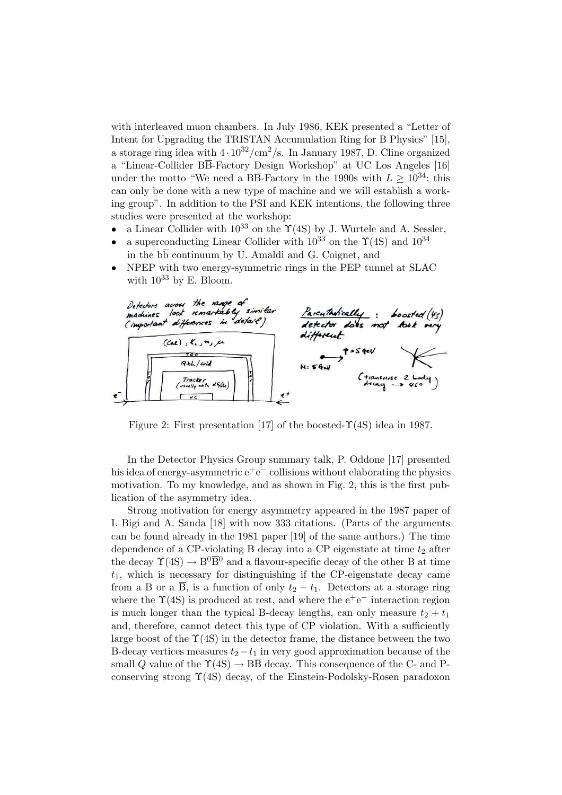with interleaved muon chambers. In July 1986, KEK presented a "Letter of Intent for Upgrading the TRISTAN Accumulation Ring for B Physics" [15], a storage ring idea with  $4 \cdot 10^{32}/\text{cm}^2/\text{s}$ . In January 1987, D. Cline organized a "Linear-Collider BB-Factory Design Workshop" at UC Los Angeles [16] under the motto "We need a BB-Factory in the 1990s with  $L > 10^{34}$ ; this can only be done with a new type of machine and we will establish a working group". In addition to the PSI and KEK intentions, the following three studies were presented at the workshop:

- a Linear Collider with  $10^{33}$  on the  $\Upsilon(4S)$  by J. Wurtele and A. Sessler,
- a superconducting Linear Collider with  $10^{33}$  on the  $\Upsilon(4S)$  and  $10^{34}$ in the  $b\overline{b}$  continuum by U. Amaldi and G. Coignet, and



• NPEP with two energy-symmetric rings in the PEP tunnel at SLAC with  $10^{33}$  by E. Bloom.

Figure 2: First presentation [17] of the boosted- $\Upsilon(4S)$  idea in 1987.

In the Detector Physics Group summary talk, P. Oddone [17] presented his idea of energy-asymmetric  $e^+e^-$  collisions without elaborating the physics motivation. To my knowledge, and as shown in Fig. 2, this is the first publication of the asymmetry idea.

Strong motivation for energy asymmetry appeared in the 1987 paper of I. Bigi and A. Sanda [18] with now 333 citations. (Parts of the arguments can be found already in the 1981 paper [19] of the same authors.) The time dependence of a CP-violating B decay into a CP eigenstate at time  $t_2$  after the decay  $\Upsilon(4S) \rightarrow B^0 \overline{B}{}^0$  and a flavour-specific decay of the other B at time  $t_1$ , which is necessary for distinguishing if the CP-eigenstate decay came from a B or a  $\overline{B}$ , is a function of only  $t_2 - t_1$ . Detectors at a storage ring where the  $\Upsilon(4S)$  is produced at rest, and where the  $e^+e^-$  interaction region is much longer than the typical B-decay lengths, can only measure  $t_2 + t_1$ and, therefore, cannot detect this type of CP violation. With a sufficiently large boost of the  $\Upsilon(4S)$  in the detector frame, the distance between the two B-decay vertices measures  $t_2 - t_1$  in very good approximation because of the small Q value of the  $\Upsilon(4S) \rightarrow \overline{BB}$  decay. This consequence of the C- and Pconserving strong  $\Upsilon(4S)$  decay, of the Einstein-Podolsky-Rosen paradoxon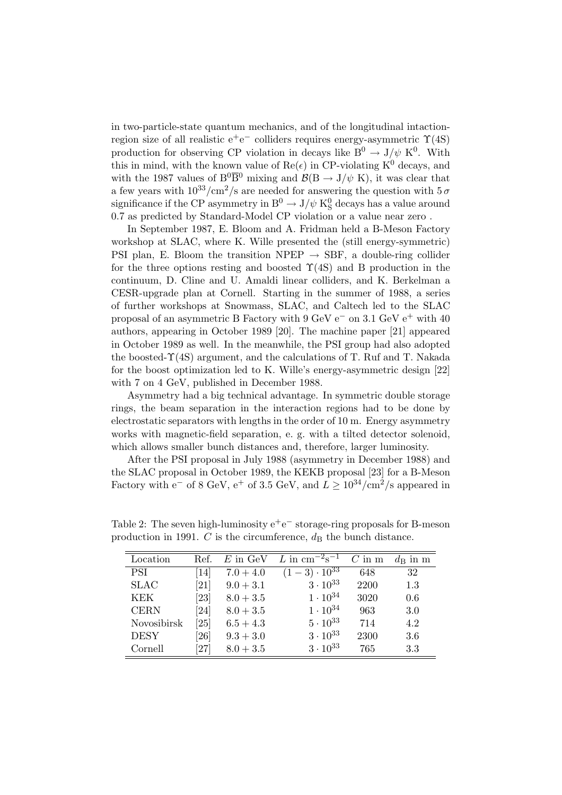in two-particle-state quantum mechanics, and of the longitudinal intactionregion size of all realistic  $e^+e^-$  colliders requires energy-asymmetric  $\Upsilon(4S)$ production for observing CP violation in decays like  $B^0 \to J/\psi K^0$ . With this in mind, with the known value of  $\text{Re}(\epsilon)$  in CP-violating K<sup>0</sup> decays, and with the 1987 values of  $B^0\overline{B}^0$  mixing and  $\mathcal{B}(B \to J/\psi K)$ , it was clear that a few years with  $10^{33}/\text{cm}^2/\text{s}$  are needed for answering the question with  $5\,\sigma$ significance if the CP asymmetry in  $\mathrm{B}^0 \rightarrow \mathrm{J}/\psi$  K<sub>S</sub> decays has a value around 0.7 as predicted by Standard-Model CP violation or a value near zero .

In September 1987, E. Bloom and A. Fridman held a B-Meson Factory workshop at SLAC, where K. Wille presented the (still energy-symmetric) PSI plan, E. Bloom the transition NPEP  $\rightarrow$  SBF, a double-ring collider for the three options resting and boosted  $\Upsilon(4S)$  and B production in the continuum, D. Cline and U. Amaldi linear colliders, and K. Berkelman a CESR-upgrade plan at Cornell. Starting in the summer of 1988, a series of further workshops at Snowmass, SLAC, and Caltech led to the SLAC proposal of an asymmetric B Factory with 9 GeV  $e^-$  on 3.1 GeV  $e^+$  with 40 authors, appearing in October 1989 [20]. The machine paper [21] appeared in October 1989 as well. In the meanwhile, the PSI group had also adopted the boosted-Υ(4S) argument, and the calculations of T. Ruf and T. Nakada for the boost optimization led to K. Wille's energy-asymmetric design [22] with 7 on 4 GeV, published in December 1988.

Asymmetry had a big technical advantage. In symmetric double storage rings, the beam separation in the interaction regions had to be done by electrostatic separators with lengths in the order of 10 m. Energy asymmetry works with magnetic-field separation, e. g. with a tilted detector solenoid, which allows smaller bunch distances and, therefore, larger luminosity.

After the PSI proposal in July 1988 (asymmetry in December 1988) and the SLAC proposal in October 1989, the KEKB proposal [23] for a B-Meson Factory with e<sup>-</sup> of 8 GeV, e<sup>+</sup> of 3.5 GeV, and  $L \geq 10^{34}/\text{cm}^2/\text{s}$  appeared in

| Location    | Ref.                          | $E$ in GeV  | L in $\rm cm^{-2}s^{-1}$        | $C$ in m | $d_{\rm B}$ in m |
|-------------|-------------------------------|-------------|---------------------------------|----------|------------------|
| PSI         | $\left\lceil 14 \right\rceil$ | $7.0 + 4.0$ | $(1-3)\cdot 10^{3\overline{3}}$ | 648      | 32               |
| <b>SLAC</b> | $\left[ 21\right]$            | $9.0 + 3.1$ | $3 \cdot 10^{33}$               | 2200     | 1.3              |
| KEK         | $\left[ 23\right]$            | $8.0 + 3.5$ | $1 \cdot 10^{34}$               | 3020     | 0.6              |
| <b>CERN</b> | [24]                          | $8.0 + 3.5$ | $1 \cdot 10^{34}$               | 963      | 3.0              |
| Novosibirsk | $\left[ 25\right]$            | $6.5 + 4.3$ | $5 \cdot 10^{33}$               | 714      | 4.2              |
| <b>DESY</b> | $\left[ 26\right]$            | $9.3 + 3.0$ | $3 \cdot 10^{33}$               | 2300     | 3.6              |
| Cornell     | $\left[ 27\right]$            | $8.0 + 3.5$ | $3 \cdot 10^{33}$               | 765      | 3.3              |

Table 2: The seven high-luminosity  $e^+e^-$  storage-ring proposals for B-meson production in 1991. C is the circumference,  $d_{\text{B}}$  the bunch distance.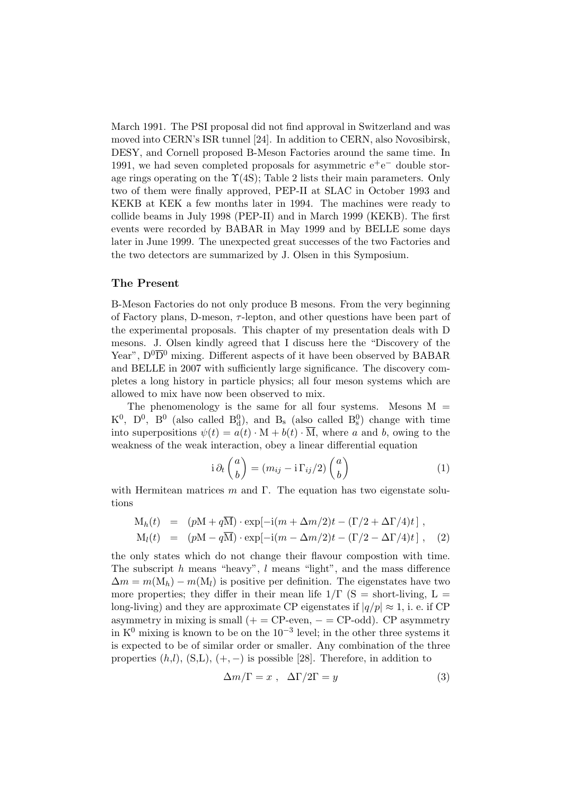March 1991. The PSI proposal did not find approval in Switzerland and was moved into CERN's ISR tunnel [24]. In addition to CERN, also Novosibirsk, DESY, and Cornell proposed B-Meson Factories around the same time. In 1991, we had seven completed proposals for asymmetric  $e^+e^-$  double storage rings operating on the  $\Upsilon(4S)$ ; Table 2 lists their main parameters. Only two of them were finally approved, PEP-II at SLAC in October 1993 and KEKB at KEK a few months later in 1994. The machines were ready to collide beams in July 1998 (PEP-II) and in March 1999 (KEKB). The first events were recorded by BABAR in May 1999 and by BELLE some days later in June 1999. The unexpected great successes of the two Factories and the two detectors are summarized by J. Olsen in this Symposium.

## The Present

B-Meson Factories do not only produce B mesons. From the very beginning of Factory plans, D-meson,  $\tau$ -lepton, and other questions have been part of the experimental proposals. This chapter of my presentation deals with D mesons. J. Olsen kindly agreed that I discuss here the "Discovery of the Year",  $D^0\overline{D}{}^0$  mixing. Different aspects of it have been observed by BABAR and BELLE in 2007 with sufficiently large significance. The discovery completes a long history in particle physics; all four meson systems which are allowed to mix have now been observed to mix.

The phenomenology is the same for all four systems. Mesons  $M =$  $K^0$ ,  $D^0$ ,  $B^0$  (also called  $B_d^0$ ), and  $B_s$  (also called  $B_s^0$ ) change with time into superpositions  $\psi(t) = a(t) \cdot M + b(t) \cdot \overline{M}$ , where a and b, owing to the weakness of the weak interaction, obey a linear differential equation

$$
i \partial_t {a \choose b} = (m_{ij} - i \Gamma_{ij}/2) {a \choose b}
$$
 (1)

with Hermitean matrices  $m$  and  $\Gamma$ . The equation has two eigenstate solutions

$$
M_h(t) = (pM + q\overline{M}) \cdot \exp[-i(m + \Delta m/2)t - (\Gamma/2 + \Delta \Gamma/4)t],
$$
  
\n
$$
M_l(t) = (pM - q\overline{M}) \cdot \exp[-i(m - \Delta m/2)t - (\Gamma/2 - \Delta \Gamma/4)t],
$$
\n(2)

the only states which do not change their flavour compostion with time. The subscript  $h$  means "heavy",  $l$  means "light", and the mass difference  $\Delta m = m(M_h) - m(M_l)$  is positive per definition. The eigenstates have two more properties; they differ in their mean life  $1/\Gamma$  (S = short-living, L = long-living) and they are approximate CP eigenstates if  $|q/p| \approx 1$ , i. e. if CP asymmetry in mixing is small  $(+) = CP$ -even,  $- = CP$ -odd). CP asymmetry in  $K^0$  mixing is known to be on the 10<sup>-3</sup> level; in the other three systems it is expected to be of similar order or smaller. Any combination of the three properties  $(h,l)$ ,  $(S,L)$ ,  $(+,-)$  is possible [28]. Therefore, in addition to

$$
\Delta m/\Gamma = x \ , \ \ \Delta \Gamma/2\Gamma = y \tag{3}
$$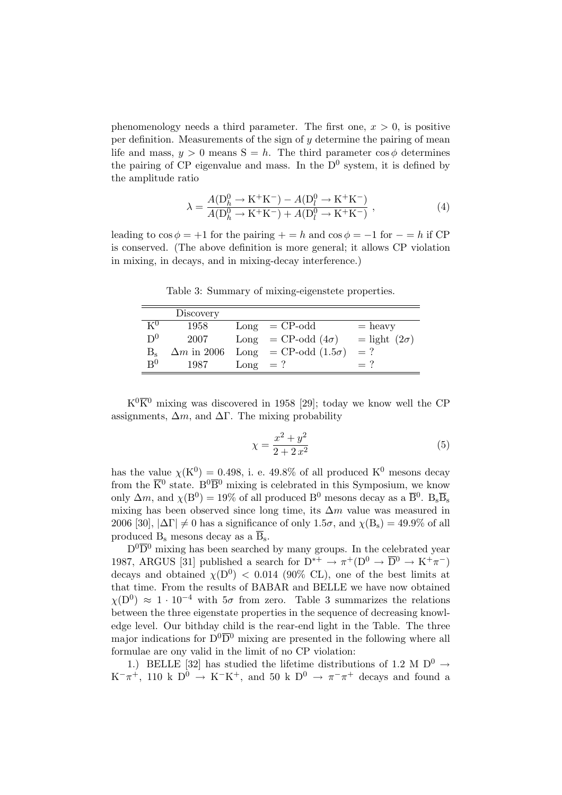phenomenology needs a third parameter. The first one,  $x > 0$ , is positive per definition. Measurements of the sign of  $y$  determine the pairing of mean life and mass,  $y > 0$  means  $S = h$ . The third parameter cos  $\phi$  determines the pairing of CP eigenvalue and mass. In the  $D^0$  system, it is defined by the amplitude ratio

$$
\lambda = \frac{A(D_h^0 \to K^+ K^-) - A(D_l^0 \to K^+ K^-)}{A(D_h^0 \to K^+ K^-) + A(D_l^0 \to K^+ K^-)} ,
$$
\n(4)

leading to  $\cos \phi = +1$  for the pairing  $+ = h$  and  $\cos \phi = -1$  for  $- = h$  if CP is conserved. (The above definition is more general; it allows CP violation in mixing, in decays, and in mixing-decay interference.)

Discovery  $K^0$  1958 Long = CP-odd = heavy  $D^0$  2007 Long = CP-odd  $(4\sigma)$  = light  $(2\sigma)$ B<sub>s</sub>  $\Delta m$  in 2006 Long = CP-odd (1.5 $\sigma$ ) = ?  $\mathbf{B}^0$  $^{0}$  1987 Long = ? = ?

Table 3: Summary of mixing-eigenstete properties.

 $K^{0}\overline{K}^{0}$  mixing was discovered in 1958 [29]; today we know well the CP assignments,  $\Delta m$ , and  $\Delta \Gamma$ . The mixing probability

$$
\chi = \frac{x^2 + y^2}{2 + 2x^2} \tag{5}
$$

has the value  $\chi$ (K<sup>0</sup>) = 0.498, i. e. 49.8% of all produced K<sup>0</sup> mesons decay from the  $\overline{K}^0$  state. B<sup>0</sup> $\overline{B}^0$  mixing is celebrated in this Symposium, we know only  $\Delta m$ , and  $\chi(B^0) = 19\%$  of all produced  $B^0$  mesons decay as a  $\overline{B}{}^0$ .  $B_s\overline{B}_s$ mixing has been observed since long time, its  $\Delta m$  value was measured in 2006 [30],  $|\Delta\Gamma|\neq 0$  has a significance of only  $1.5\sigma$ , and  $\chi(B_s) = 49.9\%$  of all produced  $B_s$  mesons decay as a  $\overline{B}_s$ .

 $D^0\overline{D}^0$  mixing has been searched by many groups. In the celebrated year 1987, ARGUS [31] published a search for  $D^{*+} \to \pi^+ (D^0 \to \overline{D}^0 \to K^+ \pi^-)$ decays and obtained  $\chi(D^0)$  < 0.014 (90% CL), one of the best limits at that time. From the results of BABAR and BELLE we have now obtained  $\chi(D^0) \approx 1 \cdot 10^{-4}$  with  $5\sigma$  from zero. Table 3 summarizes the relations between the three eigenstate properties in the sequence of decreasing knowledge level. Our bithday child is the rear-end light in the Table. The three major indications for  $D^0\overline{D}{}^0$  mixing are presented in the following where all formulae are ony valid in the limit of no CP violation:

1.) BELLE [32] has studied the lifetime distributions of 1.2 M  $D^0 \rightarrow$  $K^-\pi^+$ , 110 k D<sup>0</sup>  $\rightarrow$  K<sup>-</sup>K<sup>+</sup>, and 50 k D<sup>0</sup>  $\rightarrow \pi^-\pi^+$  decays and found a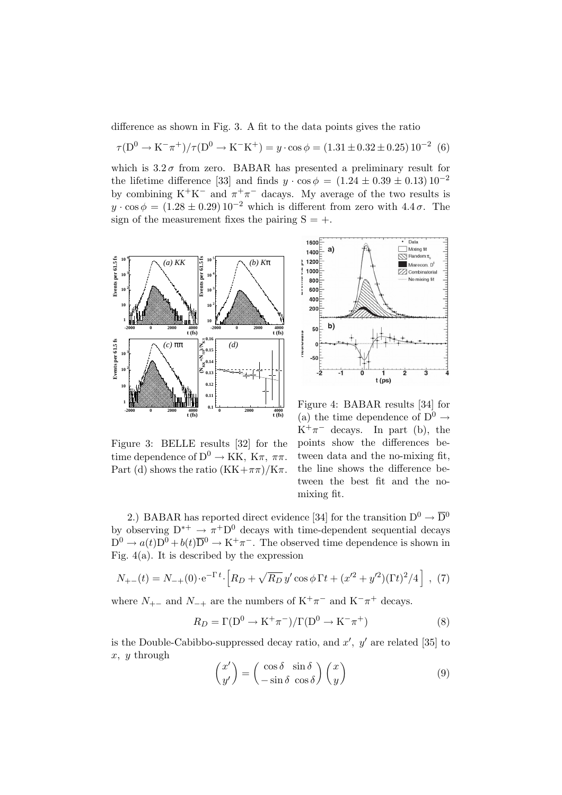difference as shown in Fig. 3. A fit to the data points gives the ratio

$$
\tau(D^0 \to K^- \pi^+)/\tau(D^0 \to K^- K^+) = y \cdot \cos \phi = (1.31 \pm 0.32 \pm 0.25) 10^{-2} (6)
$$

which is  $3.2\sigma$  from zero. BABAR has presented a preliminary result for the lifetime difference [33] and finds  $y \cdot \cos \phi = (1.24 \pm 0.39 \pm 0.13) 10^{-2}$ by combining  $K^+K^-$  and  $\pi^+\pi^-$  dacays. My average of the two results is  $y \cdot \cos \phi = (1.28 \pm 0.29) 10^{-2}$  which is different from zero with  $4.4 \sigma$ . The sign of the measurement fixes the pairing  $S = +$ .





Figure 3: BELLE results [32] for the time dependence of  $D^0 \to KK$ ,  $K\pi$ ,  $\pi\pi$ . Part (d) shows the ratio  $(KK+\pi\pi)/K\pi$ .

Figure 4: BABAR results [34] for (a) the time dependence of  $D^0 \rightarrow$  $K^+\pi^-$  decays. In part (b), the points show the differences between data and the no-mixing fit, the line shows the difference between the best fit and the nomixing fit.

2.) BABAR has reported direct evidence [34] for the transition  $D^0 \to \overline{D}{}^0$ by observing  $D^{*+} \to \pi^+ D^0$  decays with time-dependent sequential decays  $D^0 \to a(t)D^0 + b(t)\overline{D}^0 \to K^+\pi^-$ . The observed time dependence is shown in Fig.  $4(a)$ . It is described by the expression

$$
N_{+-}(t) = N_{-+}(0) \cdot e^{-\Gamma t} \cdot \left[ R_D + \sqrt{R_D} y' \cos \phi \Gamma t + (x'^2 + y'^2)(\Gamma t)^2 / 4 \right] , (7)
$$

where  $N_{+-}$  and  $N_{-+}$  are the numbers of  $K^+\pi^-$  and  $K^-\pi^+$  decays.

$$
R_D = \Gamma(D^0 \to \mathrm{K}^+ \pi^-) / \Gamma(D^0 \to \mathrm{K}^- \pi^+) \tag{8}
$$

is the Double-Cabibbo-suppressed decay ratio, and  $x'$ ,  $y'$  are related [35] to  $x, y$  through  $\overline{a}$  $\mathbf{r}$  $\overline{a}$  $\mathbf{r}$ 

$$
\begin{pmatrix} x' \\ y' \end{pmatrix} = \begin{pmatrix} \cos \delta & \sin \delta \\ -\sin \delta & \cos \delta \end{pmatrix} \begin{pmatrix} x \\ y \end{pmatrix}
$$
 (9)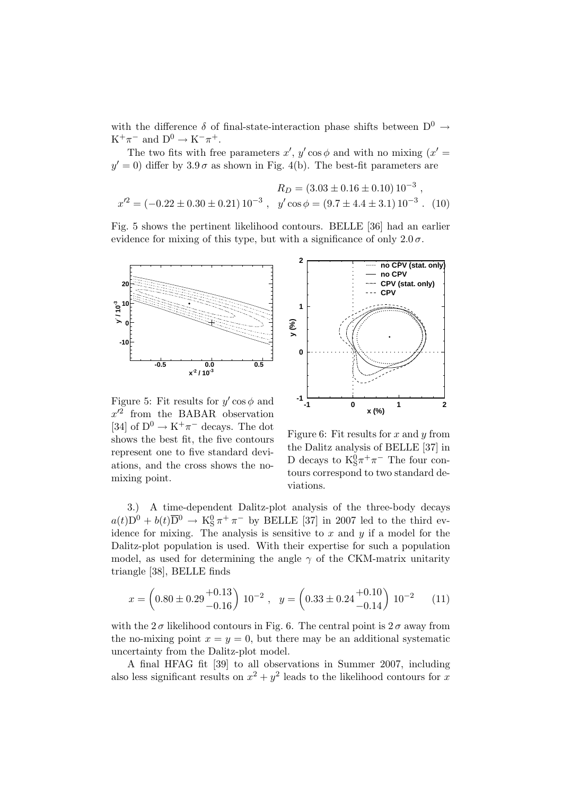with the difference  $\delta$  of final-state-interaction phase shifts between  $D^0 \rightarrow$  $K^+\pi^-$  and  $D^0 \to K^-\pi^+$ .

The two fits with free parameters  $x'$ ,  $y' \cos \phi$  and with no mixing  $(x' =$  $y' = 0$ ) differ by  $3.9 \sigma$  as shown in Fig. 4(b). The best-fit parameters are

$$
R_D = (3.03 \pm 0.16 \pm 0.10) 10^{-3} ,
$$
  

$$
x'^2 = (-0.22 \pm 0.30 \pm 0.21) 10^{-3} ,
$$
  

$$
y' \cos \phi = (9.7 \pm 4.4 \pm 3.1) 10^{-3} .
$$
 (10)

Fig. 5 shows the pertinent likelihood contours. BELLE [36] had an earlier evidence for mixing of this type, but with a significance of only  $2.0\sigma$ .



Figure 5: Fit results for  $y' \cos \phi$  and  $x'^2$  from the BABAR observation [34] of  $D^0 \to K^+\pi^-$  decays. The dot shows the best fit, the five contours represent one to five standard deviations, and the cross shows the nomixing point.



Figure 6: Fit results for  $x$  and  $y$  from the Dalitz analysis of BELLE [37] in D decays to  $K_S^0 \pi^+ \pi^-$  The four contours correspond to two standard deviations.

3.) A time-dependent Dalitz-plot analysis of the three-body decays  $a(t)D^0 + b(t)\overline{D}^0 \rightarrow K_S^0 \pi^+ \pi^-$  by BELLE [37] in 2007 led to the third evidence for mixing. The analysis is sensitive to  $x$  and  $y$  if a model for the Dalitz-plot population is used. With their expertise for such a population model, as used for determining the angle  $\gamma$  of the CKM-matrix unitarity triangle [38], BELLE finds

$$
x = \left(0.80 \pm 0.29 \frac{+0.13}{-0.16}\right) 10^{-2}, \quad y = \left(0.33 \pm 0.24 \frac{+0.10}{-0.14}\right) 10^{-2} \tag{11}
$$

with the  $2\sigma$  likelihood contours in Fig. 6. The central point is  $2\sigma$  away from the no-mixing point  $x = y = 0$ , but there may be an additional systematic uncertainty from the Dalitz-plot model.

A final HFAG fit [39] to all observations in Summer 2007, including also less significant results on  $x^2 + y^2$  leads to the likelihood contours for x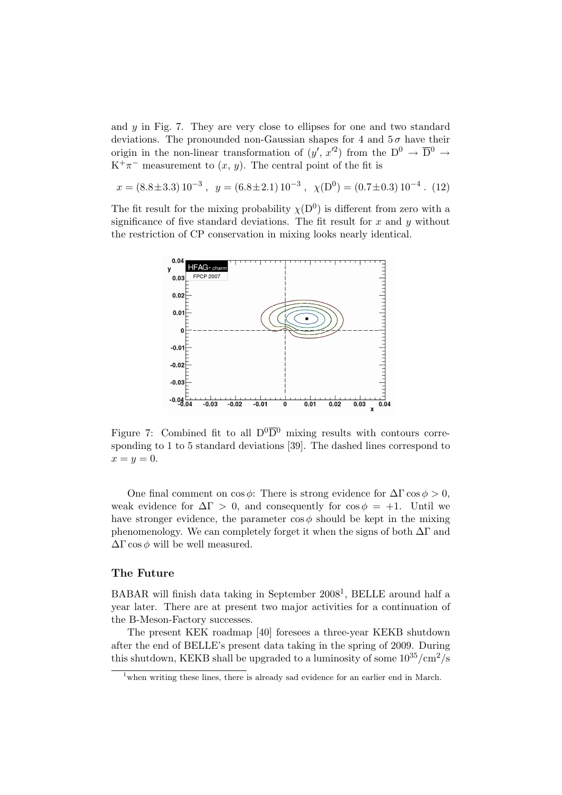and y in Fig. 7. They are very close to ellipses for one and two standard deviations. The pronounded non-Gaussian shapes for 4 and  $5\sigma$  have their origin in the non-linear transformation of  $(y', x'^2)$  from the  $D^0 \to \overline{D}{}^0 \to$  $K^+\pi^-$  measurement to  $(x, y)$ . The central point of the fit is

$$
x = (8.8 \pm 3.3) 10^{-3}
$$
,  $y = (6.8 \pm 2.1) 10^{-3}$ ,  $\chi(D^0) = (0.7 \pm 0.3) 10^{-4}$ . (12)

The fit result for the mixing probability  $\chi(D^0)$  is different from zero with a significance of five standard deviations. The fit result for  $x$  and  $y$  without the restriction of CP conservation in mixing looks nearly identical.



Figure 7: Combined fit to all  $D^0\overline{D}{}^0$  mixing results with contours corresponding to 1 to 5 standard deviations [39]. The dashed lines correspond to  $x=y=0.$ 

One final comment on  $\cos \phi$ : There is strong evidence for  $\Delta \Gamma \cos \phi > 0$ , weak evidence for  $\Delta \Gamma > 0$ , and consequently for  $\cos \phi = +1$ . Until we have stronger evidence, the parameter  $\cos \phi$  should be kept in the mixing phenomenology. We can completely forget it when the signs of both  $\Delta\Gamma$  and  $\Delta\Gamma \cos \phi$  will be well measured.

# The Future

BABAR will finish data taking in September 2008<sup>1</sup>, BELLE around half a year later. There are at present two major activities for a continuation of the B-Meson-Factory successes.

The present KEK roadmap [40] foresees a three-year KEKB shutdown after the end of BELLE's present data taking in the spring of 2009. During this shutdown, KEKB shall be upgraded to a luminosity of some  $10^{35}/\text{cm}^2/\text{s}$ 

 $1$ <sup>t</sup>when writing these lines, there is already sad evidence for an earlier end in March.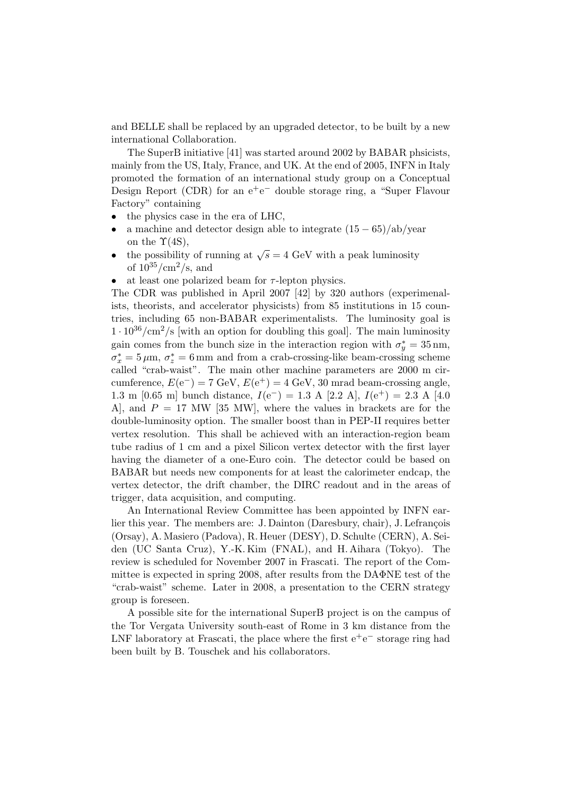and BELLE shall be replaced by an upgraded detector, to be built by a new international Collaboration.

The SuperB initiative [41] was started around 2002 by BABAR phsicists, mainly from the US, Italy, France, and UK. At the end of 2005, INFN in Italy promoted the formation of an international study group on a Conceptual Design Report (CDR) for an  $e^+e^-$  double storage ring, a "Super Flavour Factory" containing

- the physics case in the era of LHC,
- a machine and detector design able to integrate  $(15 65)/ab/year$ on the  $\Upsilon(4S)$ ,
- the possibility of running at  $\sqrt{s} = 4$  GeV with a peak luminosity of  $10^{35}/\text{cm}^2/\text{s}$ , and
- at least one polarized beam for  $\tau$ -lepton physics.

The CDR was published in April 2007 [42] by 320 authors (experimenalists, theorists, and accelerator physicists) from 85 institutions in 15 countries, including 65 non-BABAR experimentalists. The luminosity goal is  $1 \cdot 10^{36}/\text{cm}^2/\text{s}$  [with an option for doubling this goal]. The main luminosity gain comes from the bunch size in the interaction region with  $\sigma_y^* = 35 \text{ nm}$ ,  $\sigma_x^* = 5 \,\mu\text{m}, \,\sigma_z^* = 6 \,\text{mm}$  and from a crab-crossing-like beam-crossing scheme called "crab-waist". The main other machine parameters are 2000 m circumference,  $E(e^-) = 7 \text{ GeV}, E(e^+) = 4 \text{ GeV}, 30 \text{ mrad beam-crossing angle},$ 1.3 m [0.65 m] bunch distance,  $I(e^-) = 1.3$  A [2.2 A],  $I(e^+) = 2.3$  A [4.0] A, and  $P = 17$  MW [35 MW], where the values in brackets are for the double-luminosity option. The smaller boost than in PEP-II requires better vertex resolution. This shall be achieved with an interaction-region beam tube radius of 1 cm and a pixel Silicon vertex detector with the first layer having the diameter of a one-Euro coin. The detector could be based on BABAR but needs new components for at least the calorimeter endcap, the vertex detector, the drift chamber, the DIRC readout and in the areas of trigger, data acquisition, and computing.

An International Review Committee has been appointed by INFN earlier this year. The members are: J. Dainton (Daresbury, chair), J. Lefrançois (Orsay), A. Masiero (Padova), R. Heuer (DESY), D. Schulte (CERN), A. Seiden (UC Santa Cruz), Y.-K. Kim (FNAL), and H. Aihara (Tokyo). The review is scheduled for November 2007 in Frascati. The report of the Committee is expected in spring 2008, after results from the DAΦNE test of the "crab-waist" scheme. Later in 2008, a presentation to the CERN strategy group is foreseen.

A possible site for the international SuperB project is on the campus of the Tor Vergata University south-east of Rome in 3 km distance from the LNF laboratory at Frascati, the place where the first  $e^+e^-$  storage ring had been built by B. Touschek and his collaborators.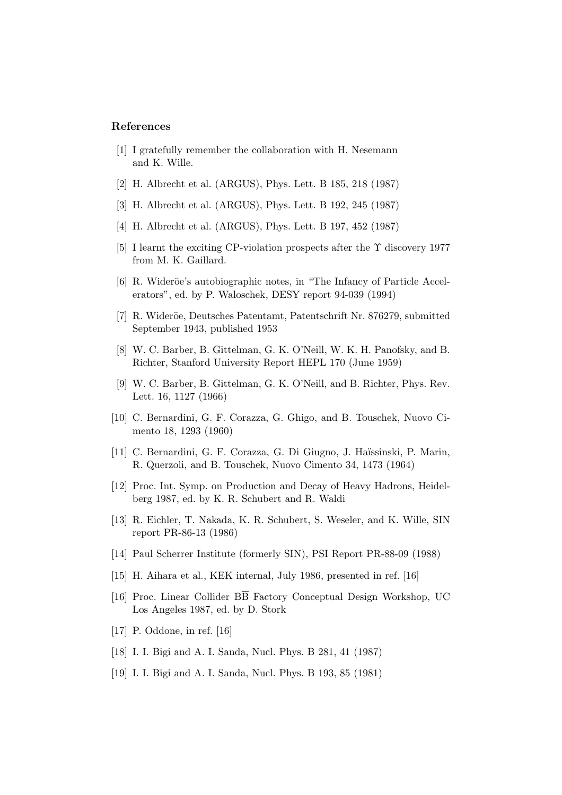### References

- [1] I gratefully remember the collaboration with H. Nesemann and K. Wille.
- [2] H. Albrecht et al. (ARGUS), Phys. Lett. B 185, 218 (1987)
- [3] H. Albrecht et al. (ARGUS), Phys. Lett. B 192, 245 (1987)
- [4] H. Albrecht et al. (ARGUS), Phys. Lett. B 197, 452 (1987)
- [5] I learnt the exciting CP-violation prospects after the  $\Upsilon$  discovery 1977 from M. K. Gaillard.
- [6] R. Wideröe's autobiographic notes, in "The Infancy of Particle Accelerators", ed. by P. Waloschek, DESY report 94-039 (1994)
- [7] R. Wideröe, Deutsches Patentamt, Patentschrift Nr. 876279, submitted September 1943, published 1953
- [8] W. C. Barber, B. Gittelman, G. K. O'Neill, W. K. H. Panofsky, and B. Richter, Stanford University Report HEPL 170 (June 1959)
- [9] W. C. Barber, B. Gittelman, G. K. O'Neill, and B. Richter, Phys. Rev. Lett. 16, 1127 (1966)
- [10] C. Bernardini, G. F. Corazza, G. Ghigo, and B. Touschek, Nuovo Cimento 18, 1293 (1960)
- [11] C. Bernardini, G. F. Corazza, G. Di Giugno, J. Haïssinski, P. Marin, R. Querzoli, and B. Touschek, Nuovo Cimento 34, 1473 (1964)
- [12] Proc. Int. Symp. on Production and Decay of Heavy Hadrons, Heidelberg 1987, ed. by K. R. Schubert and R. Waldi
- [13] R. Eichler, T. Nakada, K. R. Schubert, S. Weseler, and K. Wille, SIN report PR-86-13 (1986)
- [14] Paul Scherrer Institute (formerly SIN), PSI Report PR-88-09 (1988)
- [15] H. Aihara et al., KEK internal, July 1986, presented in ref. [16]
- [16] Proc. Linear Collider  $\overline{B}$  Factory Conceptual Design Workshop, UC Los Angeles 1987, ed. by D. Stork
- [17] P. Oddone, in ref. [16]
- [18] I. I. Bigi and A. I. Sanda, Nucl. Phys. B 281, 41 (1987)
- [19] I. I. Bigi and A. I. Sanda, Nucl. Phys. B 193, 85 (1981)